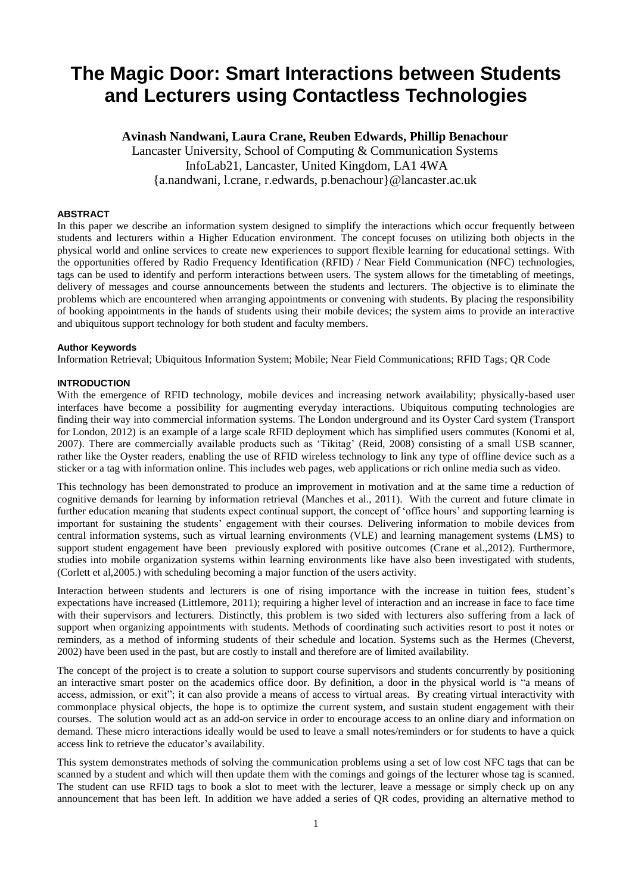# **The Magic Door: Smart Interactions between Students and Lecturers using Contactless Technologies**

## **Avinash Nandwani, Laura Crane, Reuben Edwards, Phillip Benachour**

Lancaster University, School of Computing & Communication Systems InfoLab21, Lancaster, United Kingdom, LA1 4WA {a.nandwani, l.crane, r.edwards, p.benachour}@lancaster.ac.uk

## **ABSTRACT**

In this paper we describe an information system designed to simplify the interactions which occur frequently between students and lecturers within a Higher Education environment. The concept focuses on utilizing both objects in the physical world and online services to create new experiences to support flexible learning for educational settings. With the opportunities offered by Radio Frequency Identification (RFID) / Near Field Communication (NFC) technologies, tags can be used to identify and perform interactions between users. The system allows for the timetabling of meetings, delivery of messages and course announcements between the students and lecturers. The objective is to eliminate the problems which are encountered when arranging appointments or convening with students. By placing the responsibility of booking appointments in the hands of students using their mobile devices; the system aims to provide an interactive and ubiquitous support technology for both student and faculty members.

## **Author Keywords**

Information Retrieval; Ubiquitous Information System; Mobile; Near Field Communications; RFID Tags; QR Code

## **INTRODUCTION**

With the emergence of RFID technology, mobile devices and increasing network availability; physically-based user interfaces have become a possibility for augmenting everyday interactions. Ubiquitous computing technologies are finding their way into commercial information systems. The London underground and its Oyster Card system (Transport for London, 2012) is an example of a large scale RFID deployment which has simplified users commutes (Konomi et al, 2007). There are commercially available products such as 'Tikitag' (Reid, 2008) consisting of a small USB scanner, rather like the Oyster readers, enabling the use of RFID wireless technology to link any type of offline device such as a sticker or a tag with information online. This includes web pages, web applications or rich online media such as video.

This technology has been demonstrated to produce an improvement in motivation and at the same time a reduction of cognitive demands for learning by information retrieval (Manches et al., 2011). With the current and future climate in further education meaning that students expect continual support, the concept of 'office hours' and supporting learning is important for sustaining the students' engagement with their courses. Delivering information to mobile devices from central information systems, such as virtual learning environments (VLE) and learning management systems (LMS) to support student engagement have been previously explored with positive outcomes (Crane et al.,2012). Furthermore, studies into mobile organization systems within learning environments like have also been investigated with students, (Corlett et al,2005.) with scheduling becoming a major function of the users activity.

Interaction between students and lecturers is one of rising importance with the increase in tuition fees, student's expectations have increased (Littlemore, 2011); requiring a higher level of interaction and an increase in face to face time with their supervisors and lecturers. Distinctly, this problem is two sided with lecturers also suffering from a lack of support when organizing appointments with students. Methods of coordinating such activities resort to post it notes or reminders, as a method of informing students of their schedule and location. Systems such as the Hermes (Cheverst, 2002) have been used in the past, but are costly to install and therefore are of limited availability.

The concept of the project is to create a solution to support course supervisors and students concurrently by positioning an interactive smart poster on the academics office door. By definition, a door in the physical world is "a means of access, admission, or exit"; it can also provide a means of access to virtual areas. By creating virtual interactivity with commonplace physical objects, the hope is to optimize the current system, and sustain student engagement with their courses. The solution would act as an add-on service in order to encourage access to an online diary and information on demand. These micro interactions ideally would be used to leave a small notes/reminders or for students to have a quick access link to retrieve the educator's availability.

This system demonstrates methods of solving the communication problems using a set of low cost NFC tags that can be scanned by a student and which will then update them with the comings and goings of the lecturer whose tag is scanned. The student can use RFID tags to book a slot to meet with the lecturer, leave a message or simply check up on any announcement that has been left. In addition we have added a series of QR codes, providing an alternative method to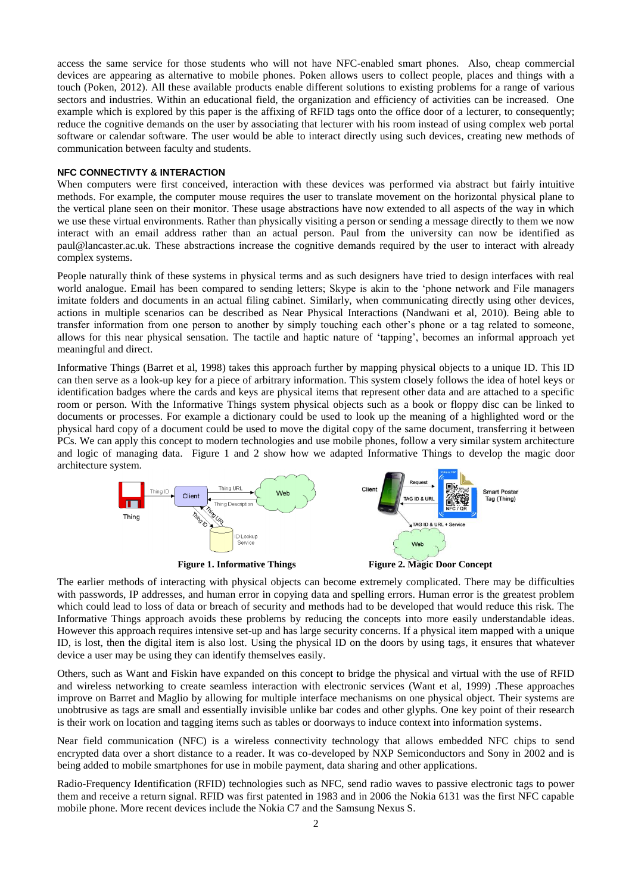access the same service for those students who will not have NFC-enabled smart phones. Also, cheap commercial devices are appearing as alternative to mobile phones. Poken allows users to collect people, places and things with a touch (Poken, 2012). All these available products enable different solutions to existing problems for a range of various sectors and industries. Within an educational field, the organization and efficiency of activities can be increased. One example which is explored by this paper is the affixing of RFID tags onto the office door of a lecturer, to consequently; reduce the cognitive demands on the user by associating that lecturer with his room instead of using complex web portal software or calendar software. The user would be able to interact directly using such devices, creating new methods of communication between faculty and students.

#### **NFC CONNECTIVTY & INTERACTION**

When computers were first conceived, interaction with these devices was performed via abstract but fairly intuitive methods. For example, the computer mouse requires the user to translate movement on the horizontal physical plane to the vertical plane seen on their monitor. These usage abstractions have now extended to all aspects of the way in which we use these virtual environments. Rather than physically visiting a person or sending a message directly to them we now interact with an email address rather than an actual person. Paul from the university can now be identified as paul@lancaster.ac.uk. These abstractions increase the cognitive demands required by the user to interact with already complex systems.

People naturally think of these systems in physical terms and as such designers have tried to design interfaces with real world analogue. Email has been compared to sending letters; Skype is akin to the 'phone network and File managers imitate folders and documents in an actual filing cabinet. Similarly, when communicating directly using other devices, actions in multiple scenarios can be described as Near Physical Interactions (Nandwani et al, 2010). Being able to transfer information from one person to another by simply touching each other's phone or a tag related to someone, allows for this near physical sensation. The tactile and haptic nature of 'tapping', becomes an informal approach yet meaningful and direct.

Informative Things (Barret et al, 1998) takes this approach further by mapping physical objects to a unique ID. This ID can then serve as a look-up key for a piece of arbitrary information. This system closely follows the idea of hotel keys or identification badges where the cards and keys are physical items that represent other data and are attached to a specific room or person. With the Informative Things system physical objects such as a book or floppy disc can be linked to documents or processes. For example a dictionary could be used to look up the meaning of a highlighted word or the physical hard copy of a document could be used to move the digital copy of the same document, transferring it between PCs. We can apply this concept to modern technologies and use mobile phones, follow a very similar system architecture and logic of managing data. Figure 1 and 2 show how we adapted Informative Things to develop the magic door architecture system.





The earlier methods of interacting with physical objects can become extremely complicated. There may be difficulties with passwords, IP addresses, and human error in copying data and spelling errors. Human error is the greatest problem which could lead to loss of data or breach of security and methods had to be developed that would reduce this risk. The Informative Things approach avoids these problems by reducing the concepts into more easily understandable ideas. However this approach requires intensive set-up and has large security concerns. If a physical item mapped with a unique ID, is lost, then the digital item is also lost. Using the physical ID on the doors by using tags, it ensures that whatever device a user may be using they can identify themselves easily.

Others, such as Want and Fiskin have expanded on this concept to bridge the physical and virtual with the use of RFID and wireless networking to create seamless interaction with electronic services (Want et al, 1999) .These approaches improve on Barret and Maglio by allowing for multiple interface mechanisms on one physical object. Their systems are unobtrusive as tags are small and essentially invisible unlike bar codes and other glyphs. One key point of their research is their work on location and tagging items such as tables or doorways to induce context into information systems.

Near field communication (NFC) is a wireless connectivity technology that allows embedded NFC chips to send encrypted data over a short distance to a reader. It was co-developed by NXP Semiconductors and Sony in 2002 and is being added to mobile smartphones for use in mobile payment, data sharing and other applications.

Radio-Frequency Identification (RFID) technologies such as NFC, send radio waves to passive electronic tags to power them and receive a return signal. RFID was first patented in 1983 and in 2006 the Nokia 6131 was the first NFC capable mobile phone. More recent devices include the Nokia C7 and the Samsung Nexus S.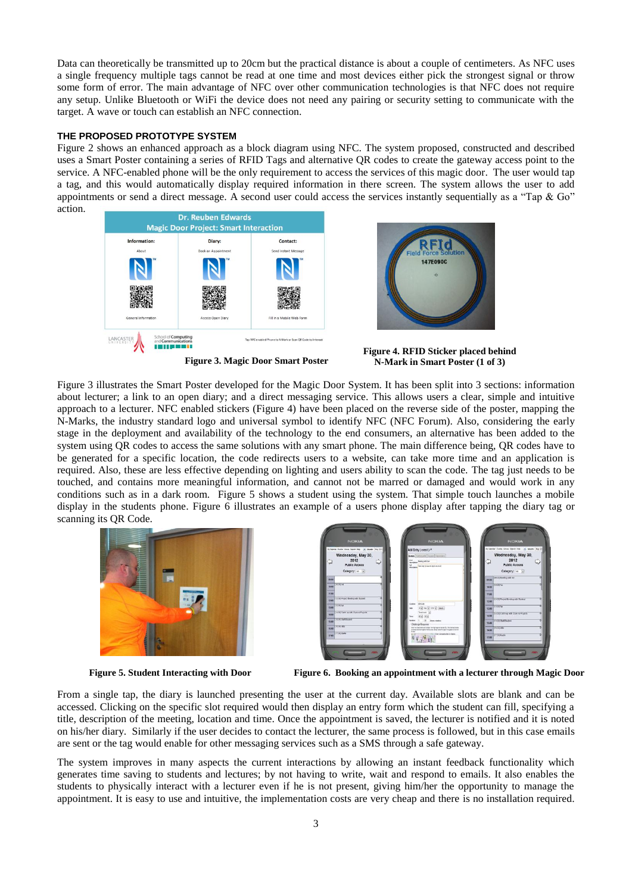Data can theoretically be transmitted up to 20cm but the practical distance is about a couple of centimeters. As NFC uses a single frequency multiple tags cannot be read at one time and most devices either pick the strongest signal or throw some form of error. The main advantage of NFC over other communication technologies is that NFC does not require any setup. Unlike Bluetooth or WiFi the device does not need any pairing or security setting to communicate with the target. A wave or touch can establish an NFC connection.

## **THE PROPOSED PROTOTYPE SYSTEM**

Figure 2 shows an enhanced approach as a block diagram using NFC. The system proposed, constructed and described uses a Smart Poster containing a series of RFID Tags and alternative QR codes to create the gateway access point to the service. A NFC-enabled phone will be the only requirement to access the services of this magic door. The user would tap a tag, and this would automatically display required information in there screen. The system allows the user to add appointments or send a direct message. A second user could access the services instantly sequentially as a "Tap  $\&$  Go" action.



**Figure 3. Magic Door Smart Poster**

**Figure 4. RFID Sticker placed behind N-Mark in Smart Poster (1 of 3)**

Figure 3 illustrates the Smart Poster developed for the Magic Door System. It has been split into 3 sections: information about lecturer; a link to an open diary; and a direct messaging service. This allows users a clear, simple and intuitive approach to a lecturer. NFC enabled stickers (Figure 4) have been placed on the reverse side of the poster, mapping the N-Marks, the industry standard logo and universal symbol to identify NFC (NFC Forum). Also, considering the early stage in the deployment and availability of the technology to the end consumers, an alternative has been added to the system using QR codes to access the same solutions with any smart phone. The main difference being, QR codes have to be generated for a specific location, the code redirects users to a website, can take more time and an application is required. Also, these are less effective depending on lighting and users ability to scan the code. The tag just needs to be touched, and contains more meaningful information, and cannot not be marred or damaged and would work in any conditions such as in a dark room. Figure 5 shows a student using the system. That simple touch launches a mobile display in the students phone. Figure 6 illustrates an example of a users phone display after tapping the diary tag or scanning its QR Code.



|             | To Calcoder Brenth Views Starth Web  15. Months May 2012<br>Wednesday, May 30,<br>2012<br><b>Public Access</b><br>Category: 40 |                            | Add Entry ( event ) *<br>Details Farrequess Expost (Renovant)<br><b>The Contract Science Automaker</b>                                |       | by Calendar Events Views Search Avic _ _ Month: May 20<br>Wednesday, May 30,<br>2012<br><b>Public Access</b><br>Category: Jul 4 |  |
|-------------|--------------------------------------------------------------------------------------------------------------------------------|----------------------------|---------------------------------------------------------------------------------------------------------------------------------------|-------|---------------------------------------------------------------------------------------------------------------------------------|--|
| <b>IV M</b> |                                                                                                                                |                            |                                                                                                                                       |       | <b>DO-BE</b> 20:00 Meeting with Aut                                                                                             |  |
| 13.04       | <b>T10 00 Ad</b>                                                                                                               |                            |                                                                                                                                       | 10:00 | <b>TO DOE AUT</b>                                                                                                               |  |
| 15.00       |                                                                                                                                |                            |                                                                                                                                       | 11:00 |                                                                                                                                 |  |
| 1241        | 112 000 Project Membrid with Student                                                                                           |                            |                                                                                                                                       | 12.00 | 192.00) Project Meeting with Student                                                                                            |  |
| 13.68       | 15200568                                                                                                                       |                            | Louison 1971-6<br>$10\left[\overline{\alpha}\right]$ for $\left[\overline{\alpha}\right]$ 272 $\left[\overline{\alpha}\right]$ denot. | 13:00 | 113.00(fm)                                                                                                                      |  |
| 1208        | (14:00) Catch up with Clara re Projects                                                                                        |                            | Teledown Tel<br>$(0.9 - 0.07)$                                                                                                        |       | 14:00 14:00 Catch up with Clare re Projects                                                                                     |  |
| 15.64       | 15.00 SaftSudent                                                                                                               | <b><i><u>SANAK</u></i></b> | 10 Board minutes                                                                                                                      | 15:00 | 116 CCC Equitidity dent                                                                                                         |  |
| 10.08       | Tivs oct-site                                                                                                                  |                            | Challenge Response<br>Does the participates and number from the image into the net bot. The prodition provider                        |       | 16:00 16:00 000                                                                                                                 |  |
| 12-04       | <b>STOCLIGAN</b>                                                                                                               |                            | <b>Enerthenow's Sent in Bradio</b>                                                                                                    |       | 17:00 17:00 Marks                                                                                                               |  |

**Figure 5. Student Interacting with Door Figure 6. Booking an appointment with a lecturer through Magic Door**

From a single tap, the diary is launched presenting the user at the current day. Available slots are blank and can be accessed. Clicking on the specific slot required would then display an entry form which the student can fill, specifying a title, description of the meeting, location and time. Once the appointment is saved, the lecturer is notified and it is noted on his/her diary. Similarly if the user decides to contact the lecturer, the same process is followed, but in this case emails are sent or the tag would enable for other messaging services such as a SMS through a safe gateway.

The system improves in many aspects the current interactions by allowing an instant feedback functionality which generates time saving to students and lectures; by not having to write, wait and respond to emails. It also enables the students to physically interact with a lecturer even if he is not present, giving him/her the opportunity to manage the appointment. It is easy to use and intuitive, the implementation costs are very cheap and there is no installation required.